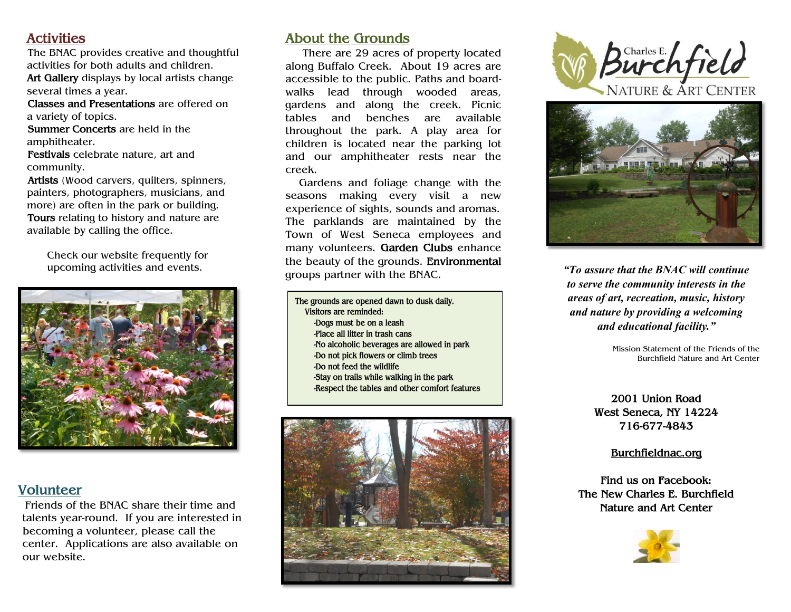# **Activities**

 The BNAC provides creative and thoughtful activities for both adults and children. **Art Gallery** displays by local artists change several times a year.

 **Classes and Presentations** are offered on a variety of topics.

 **Summer Concerts** are held in the amphitheater.

 **Festivals** celebrate nature, art and community.

 **Artists** (Wood carvers, quilters, spinners, painters, photographers, musicians, and more) are often in the park or building.  **Tours** relating to history and nature are available by calling the office.

 Check our website frequently for upcoming activities and events.



### **Volunteer**

 Friends of the BNAC share their time and talents year-round. If you are interested in becoming a volunteer, please call the center. Applications are also available on our website.

## **About the Grounds**

 There are 29 acres of property located along Buffalo Creek. About 19 acres are accessible to the public. Paths and boardwalks lead through wooded areas, gardens and along the creek. Picnic tables and benches are available throughout the park. A play area for children is located near the parking lot and our amphitheater rests near the creek.

 Gardens and foliage change with the seasons making every visit a new experience of sights, sounds and aromas. The parklands are maintained by the Town of West Seneca employees and many volunteers. **Garden Clubs** enhance the beauty of the grounds. **Environmental** groups partner with the BNAC. *"To assure that the BNAC will continue* 

**The grounds are opened dawn to dusk daily. Visitors are reminded: -Dogs must be on a leash -Place all litter in trash cans -No alcoholic beverages are allowed in park -Do not pick flowers or climb trees -Do not feed the wildlife -Stay on trails while walking in the park -Respect the tables and other comfort features**







*to serve the community interests in the areas of art, recreation, music, history and nature by providing a welcoming and educational facility."*

> Mission Statement of the Friends of the Burchfield Nature and Art Center

**2001 Union Road West Seneca, NY 14224 716-677-4843**

**Burchfieldnac.org**

**Find us on Facebook: The New Charles E. Burchfield Nature and Art Center**